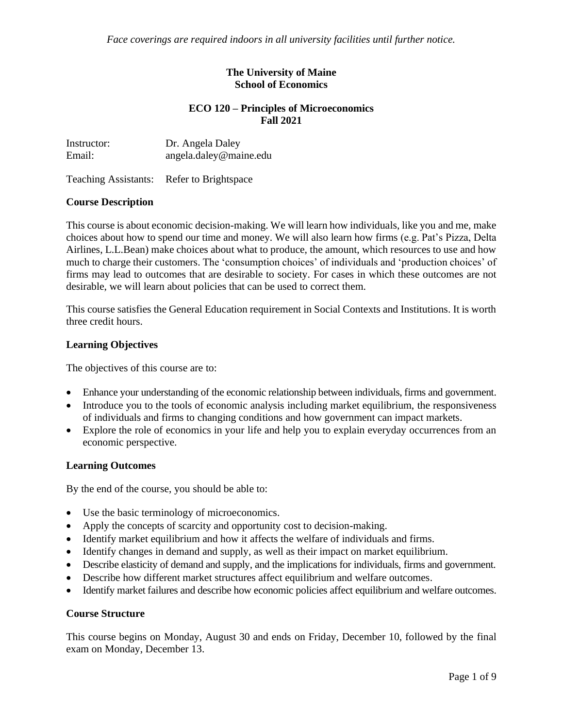*Face coverings are required indoors in all university facilities until further notice.*

## **The University of Maine School of Economics**

## **ECO 120 – Principles of Microeconomics Fall 2021**

| Instructor: | Dr. Angela Daley       |
|-------------|------------------------|
| Email:      | angela.daley@maine.edu |

Teaching Assistants: Refer to Brightspace

## **Course Description**

This course is about economic decision-making. We will learn how individuals, like you and me, make choices about how to spend our time and money. We will also learn how firms (e.g. Pat's Pizza, Delta Airlines, L.L.Bean) make choices about what to produce, the amount, which resources to use and how much to charge their customers. The 'consumption choices' of individuals and 'production choices' of firms may lead to outcomes that are desirable to society. For cases in which these outcomes are not desirable, we will learn about policies that can be used to correct them.

This course satisfies the General Education requirement in Social Contexts and Institutions. It is worth three credit hours.

## **Learning Objectives**

The objectives of this course are to:

- Enhance your understanding of the economic relationship between individuals, firms and government.
- Introduce you to the tools of economic analysis including market equilibrium, the responsiveness of individuals and firms to changing conditions and how government can impact markets.
- Explore the role of economics in your life and help you to explain everyday occurrences from an economic perspective.

#### **Learning Outcomes**

By the end of the course, you should be able to:

- Use the basic terminology of microeconomics.
- Apply the concepts of scarcity and opportunity cost to decision-making.
- Identify market equilibrium and how it affects the welfare of individuals and firms.
- Identify changes in demand and supply, as well as their impact on market equilibrium.
- Describe elasticity of demand and supply, and the implications for individuals, firms and government.
- Describe how different market structures affect equilibrium and welfare outcomes.
- Identify market failures and describe how economic policies affect equilibrium and welfare outcomes.

#### **Course Structure**

This course begins on Monday, August 30 and ends on Friday, December 10, followed by the final exam on Monday, December 13.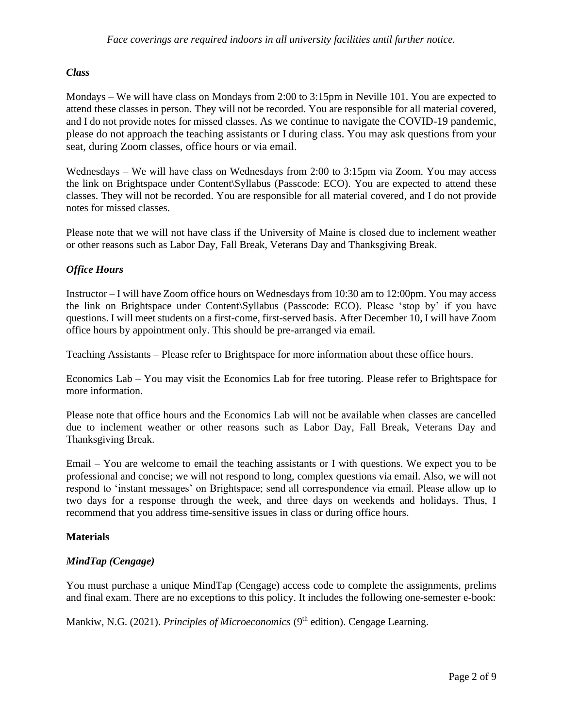# *Class*

Mondays – We will have class on Mondays from 2:00 to 3:15pm in Neville 101. You are expected to attend these classes in person. They will not be recorded. You are responsible for all material covered, and I do not provide notes for missed classes. As we continue to navigate the COVID-19 pandemic, please do not approach the teaching assistants or I during class. You may ask questions from your seat, during Zoom classes, office hours or via email.

Wednesdays – We will have class on Wednesdays from 2:00 to 3:15pm via Zoom. You may access the link on Brightspace under Content\Syllabus (Passcode: ECO). You are expected to attend these classes. They will not be recorded. You are responsible for all material covered, and I do not provide notes for missed classes.

Please note that we will not have class if the University of Maine is closed due to inclement weather or other reasons such as Labor Day, Fall Break, Veterans Day and Thanksgiving Break.

# *Office Hours*

Instructor – I will have Zoom office hours on Wednesdays from 10:30 am to 12:00pm. You may access the link on Brightspace under Content\Syllabus (Passcode: ECO). Please 'stop by' if you have questions. I will meet students on a first-come, first-served basis. After December 10, I will have Zoom office hours by appointment only. This should be pre-arranged via email.

Teaching Assistants – Please refer to Brightspace for more information about these office hours.

Economics Lab – You may visit the Economics Lab for free tutoring. Please refer to Brightspace for more information.

Please note that office hours and the Economics Lab will not be available when classes are cancelled due to inclement weather or other reasons such as Labor Day, Fall Break, Veterans Day and Thanksgiving Break.

Email – You are welcome to email the teaching assistants or I with questions. We expect you to be professional and concise; we will not respond to long, complex questions via email. Also, we will not respond to 'instant messages' on Brightspace; send all correspondence via email. Please allow up to two days for a response through the week, and three days on weekends and holidays. Thus, I recommend that you address time-sensitive issues in class or during office hours.

#### **Materials**

# *MindTap (Cengage)*

You must purchase a unique MindTap (Cengage) access code to complete the assignments, prelims and final exam. There are no exceptions to this policy. It includes the following one-semester e-book:

Mankiw, N.G. (2021). *Principles of Microeconomics* (9<sup>th</sup> edition). Cengage Learning.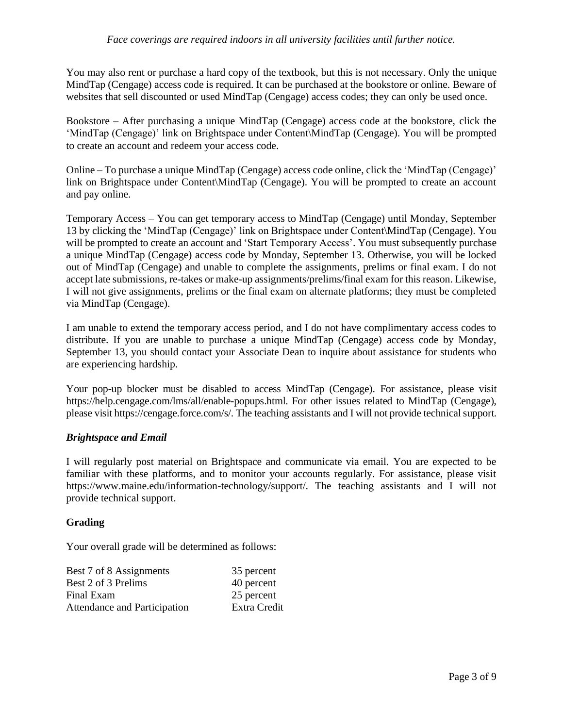You may also rent or purchase a hard copy of the textbook, but this is not necessary. Only the unique MindTap (Cengage) access code is required. It can be purchased at the bookstore or online. Beware of websites that sell discounted or used MindTap (Cengage) access codes; they can only be used once.

Bookstore – After purchasing a unique MindTap (Cengage) access code at the bookstore, click the 'MindTap (Cengage)' link on Brightspace under Content\MindTap (Cengage). You will be prompted to create an account and redeem your access code.

Online – To purchase a unique MindTap (Cengage) access code online, click the 'MindTap (Cengage)' link on Brightspace under Content\MindTap (Cengage). You will be prompted to create an account and pay online.

Temporary Access – You can get temporary access to MindTap (Cengage) until Monday, September 13 by clicking the 'MindTap (Cengage)' link on Brightspace under Content\MindTap (Cengage). You will be prompted to create an account and 'Start Temporary Access'. You must subsequently purchase a unique MindTap (Cengage) access code by Monday, September 13. Otherwise, you will be locked out of MindTap (Cengage) and unable to complete the assignments, prelims or final exam. I do not accept late submissions, re-takes or make-up assignments/prelims/final exam for this reason. Likewise, I will not give assignments, prelims or the final exam on alternate platforms; they must be completed via MindTap (Cengage).

I am unable to extend the temporary access period, and I do not have complimentary access codes to distribute. If you are unable to purchase a unique MindTap (Cengage) access code by Monday, September 13, you should contact your Associate Dean to inquire about assistance for students who are experiencing hardship.

Your pop-up blocker must be disabled to access MindTap (Cengage). For assistance, please visit https://help.cengage.com/lms/all/enable-popups.html. For other issues related to MindTap (Cengage), please visit https://cengage.force.com/s/. The teaching assistants and I will not provide technical support.

# *Brightspace and Email*

I will regularly post material on Brightspace and communicate via email. You are expected to be familiar with these platforms, and to monitor your accounts regularly. For assistance, please visit https://www.maine.edu/information-technology/support/. The teaching assistants and I will not provide technical support.

# **Grading**

Your overall grade will be determined as follows:

| Best 7 of 8 Assignments      | 35 percent   |
|------------------------------|--------------|
| Best 2 of 3 Prelims          | 40 percent   |
| Final Exam                   | 25 percent   |
| Attendance and Participation | Extra Credit |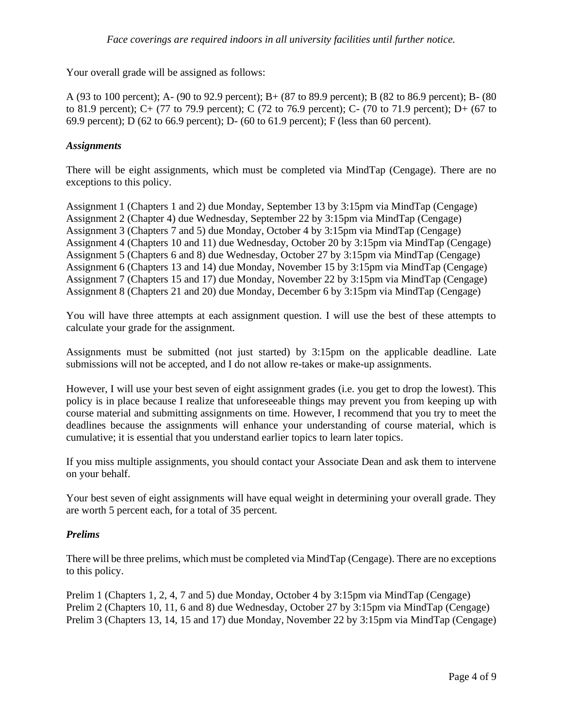Your overall grade will be assigned as follows:

A (93 to 100 percent); A- (90 to 92.9 percent); B+ (87 to 89.9 percent); B (82 to 86.9 percent); B- (80 to 81.9 percent); C+ (77 to 79.9 percent); C (72 to 76.9 percent); C- (70 to 71.9 percent); D+ (67 to 69.9 percent); D (62 to 66.9 percent); D- (60 to 61.9 percent); F (less than 60 percent).

# *Assignments*

There will be eight assignments, which must be completed via MindTap (Cengage). There are no exceptions to this policy.

Assignment 1 (Chapters 1 and 2) due Monday, September 13 by 3:15pm via MindTap (Cengage) Assignment 2 (Chapter 4) due Wednesday, September 22 by 3:15pm via MindTap (Cengage) Assignment 3 (Chapters 7 and 5) due Monday, October 4 by 3:15pm via MindTap (Cengage) Assignment 4 (Chapters 10 and 11) due Wednesday, October 20 by 3:15pm via MindTap (Cengage) Assignment 5 (Chapters 6 and 8) due Wednesday, October 27 by 3:15pm via MindTap (Cengage) Assignment 6 (Chapters 13 and 14) due Monday, November 15 by 3:15pm via MindTap (Cengage) Assignment 7 (Chapters 15 and 17) due Monday, November 22 by 3:15pm via MindTap (Cengage) Assignment 8 (Chapters 21 and 20) due Monday, December 6 by 3:15pm via MindTap (Cengage)

You will have three attempts at each assignment question. I will use the best of these attempts to calculate your grade for the assignment.

Assignments must be submitted (not just started) by 3:15pm on the applicable deadline. Late submissions will not be accepted, and I do not allow re-takes or make-up assignments.

However, I will use your best seven of eight assignment grades (i.e. you get to drop the lowest). This policy is in place because I realize that unforeseeable things may prevent you from keeping up with course material and submitting assignments on time. However, I recommend that you try to meet the deadlines because the assignments will enhance your understanding of course material, which is cumulative; it is essential that you understand earlier topics to learn later topics.

If you miss multiple assignments, you should contact your Associate Dean and ask them to intervene on your behalf.

Your best seven of eight assignments will have equal weight in determining your overall grade. They are worth 5 percent each, for a total of 35 percent.

#### *Prelims*

There will be three prelims, which must be completed via MindTap (Cengage). There are no exceptions to this policy.

Prelim 1 (Chapters 1, 2, 4, 7 and 5) due Monday, October 4 by 3:15pm via MindTap (Cengage) Prelim 2 (Chapters 10, 11, 6 and 8) due Wednesday, October 27 by 3:15pm via MindTap (Cengage) Prelim 3 (Chapters 13, 14, 15 and 17) due Monday, November 22 by 3:15pm via MindTap (Cengage)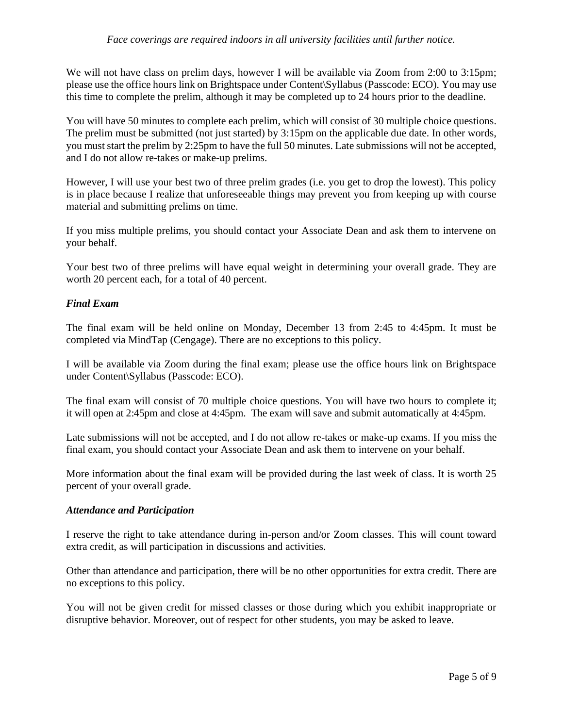## *Face coverings are required indoors in all university facilities until further notice.*

We will not have class on prelim days, however I will be available via Zoom from 2:00 to 3:15pm; please use the office hours link on Brightspace under Content\Syllabus (Passcode: ECO). You may use this time to complete the prelim, although it may be completed up to 24 hours prior to the deadline.

You will have 50 minutes to complete each prelim, which will consist of 30 multiple choice questions. The prelim must be submitted (not just started) by 3:15pm on the applicable due date. In other words, you must start the prelim by 2:25pm to have the full 50 minutes. Late submissions will not be accepted, and I do not allow re-takes or make-up prelims.

However, I will use your best two of three prelim grades (i.e. you get to drop the lowest). This policy is in place because I realize that unforeseeable things may prevent you from keeping up with course material and submitting prelims on time.

If you miss multiple prelims, you should contact your Associate Dean and ask them to intervene on your behalf.

Your best two of three prelims will have equal weight in determining your overall grade. They are worth 20 percent each, for a total of 40 percent.

## *Final Exam*

The final exam will be held online on Monday, December 13 from 2:45 to 4:45pm. It must be completed via MindTap (Cengage). There are no exceptions to this policy.

I will be available via Zoom during the final exam; please use the office hours link on Brightspace under Content\Syllabus (Passcode: ECO).

The final exam will consist of 70 multiple choice questions. You will have two hours to complete it; it will open at 2:45pm and close at 4:45pm. The exam will save and submit automatically at 4:45pm.

Late submissions will not be accepted, and I do not allow re-takes or make-up exams. If you miss the final exam, you should contact your Associate Dean and ask them to intervene on your behalf.

More information about the final exam will be provided during the last week of class. It is worth 25 percent of your overall grade.

#### *Attendance and Participation*

I reserve the right to take attendance during in-person and/or Zoom classes. This will count toward extra credit, as will participation in discussions and activities.

Other than attendance and participation, there will be no other opportunities for extra credit. There are no exceptions to this policy.

You will not be given credit for missed classes or those during which you exhibit inappropriate or disruptive behavior. Moreover, out of respect for other students, you may be asked to leave.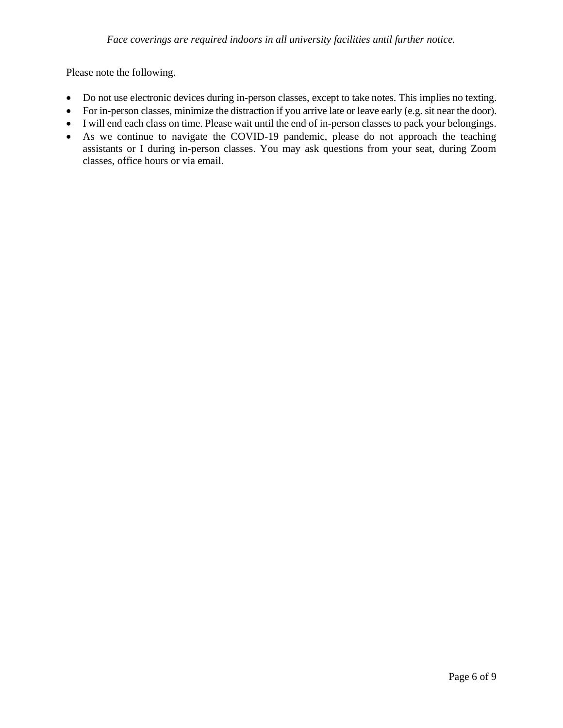Please note the following.

- Do not use electronic devices during in-person classes, except to take notes. This implies no texting.
- For in-person classes, minimize the distraction if you arrive late or leave early (e.g. sit near the door).
- I will end each class on time. Please wait until the end of in-person classes to pack your belongings.
- As we continue to navigate the COVID-19 pandemic, please do not approach the teaching assistants or I during in-person classes. You may ask questions from your seat, during Zoom classes, office hours or via email.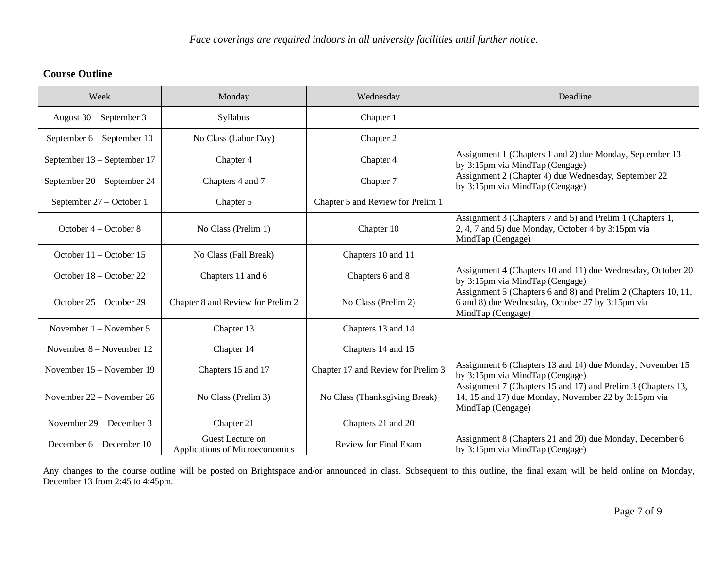# **Course Outline**

| Week                        | Monday                                             | Wednesday                          | Deadline                                                                                                                                  |
|-----------------------------|----------------------------------------------------|------------------------------------|-------------------------------------------------------------------------------------------------------------------------------------------|
| August 30 - September 3     | Syllabus                                           | Chapter 1                          |                                                                                                                                           |
| September 6 - September 10  | No Class (Labor Day)                               | Chapter 2                          |                                                                                                                                           |
| September 13 – September 17 | Chapter 4                                          | Chapter 4                          | Assignment 1 (Chapters 1 and 2) due Monday, September 13<br>by 3:15pm via MindTap (Cengage)                                               |
| September 20 – September 24 | Chapters 4 and 7                                   | Chapter 7                          | Assignment 2 (Chapter 4) due Wednesday, September 22<br>by 3:15pm via MindTap (Cengage)                                                   |
| September 27 - October 1    | Chapter 5                                          | Chapter 5 and Review for Prelim 1  |                                                                                                                                           |
| October $4 -$ October 8     | No Class (Prelim 1)                                | Chapter 10                         | Assignment 3 (Chapters 7 and 5) and Prelim 1 (Chapters 1,<br>2, 4, 7 and 5) due Monday, October 4 by 3:15pm via<br>MindTap (Cengage)      |
| October $11 -$ October 15   | No Class (Fall Break)                              | Chapters 10 and 11                 |                                                                                                                                           |
| October 18 – October 22     | Chapters 11 and 6                                  | Chapters 6 and 8                   | Assignment 4 (Chapters 10 and 11) due Wednesday, October 20<br>by 3:15pm via MindTap (Cengage)                                            |
| October 25 – October 29     | Chapter 8 and Review for Prelim 2                  | No Class (Prelim 2)                | Assignment 5 (Chapters 6 and 8) and Prelim 2 (Chapters 10, 11,<br>6 and 8) due Wednesday, October 27 by 3:15pm via<br>MindTap (Cengage)   |
| November $1 -$ November 5   | Chapter 13                                         | Chapters 13 and 14                 |                                                                                                                                           |
| November $8 -$ November 12  | Chapter 14                                         | Chapters 14 and 15                 |                                                                                                                                           |
| November 15 - November 19   | Chapters 15 and 17                                 | Chapter 17 and Review for Prelim 3 | Assignment 6 (Chapters 13 and 14) due Monday, November 15<br>by 3:15pm via MindTap (Cengage)                                              |
| November 22 – November 26   | No Class (Prelim 3)                                | No Class (Thanksgiving Break)      | Assignment 7 (Chapters 15 and 17) and Prelim 3 (Chapters 13,<br>14, 15 and 17) due Monday, November 22 by 3:15pm via<br>MindTap (Cengage) |
| November 29 – December 3    | Chapter 21                                         | Chapters 21 and 20                 |                                                                                                                                           |
| December $6 -$ December 10  | Guest Lecture on<br>Applications of Microeconomics | Review for Final Exam              | Assignment 8 (Chapters 21 and 20) due Monday, December 6<br>by 3:15pm via MindTap (Cengage)                                               |

Any changes to the course outline will be posted on Brightspace and/or announced in class. Subsequent to this outline, the final exam will be held online on Monday, December 13 from 2:45 to 4:45pm.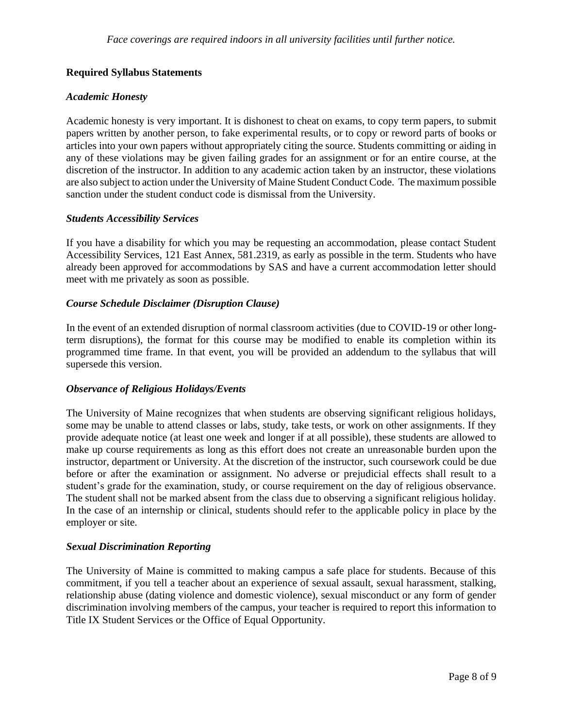# **Required Syllabus Statements**

## *Academic Honesty*

Academic honesty is very important. It is dishonest to cheat on exams, to copy term papers, to submit papers written by another person, to fake experimental results, or to copy or reword parts of books or articles into your own papers without appropriately citing the source. Students committing or aiding in any of these violations may be given failing grades for an assignment or for an entire course, at the discretion of the instructor. In addition to any academic action taken by an instructor, these violations are also subject to action under the University of Maine Student Conduct Code. The maximum possible sanction under the student conduct code is dismissal from the University.

#### *Students Accessibility Services*

If you have a disability for which you may be requesting an accommodation, please contact Student Accessibility Services, 121 East Annex, 581.2319, as early as possible in the term. Students who have already been approved for accommodations by SAS and have a current accommodation letter should meet with me privately as soon as possible.

## *Course Schedule Disclaimer (Disruption Clause)*

In the event of an extended disruption of normal classroom activities (due to COVID-19 or other longterm disruptions), the format for this course may be modified to enable its completion within its programmed time frame. In that event, you will be provided an addendum to the syllabus that will supersede this version.

#### *Observance of Religious Holidays/Events*

The University of Maine recognizes that when students are observing significant religious holidays, some may be unable to attend classes or labs, study, take tests, or work on other assignments. If they provide adequate notice (at least one week and longer if at all possible), these students are allowed to make up course requirements as long as this effort does not create an unreasonable burden upon the instructor, department or University. At the discretion of the instructor, such coursework could be due before or after the examination or assignment. No adverse or prejudicial effects shall result to a student's grade for the examination, study, or course requirement on the day of religious observance. The student shall not be marked absent from the class due to observing a significant religious holiday. In the case of an internship or clinical, students should refer to the applicable policy in place by the employer or site.

#### *Sexual Discrimination Reporting*

The University of Maine is committed to making campus a safe place for students. Because of this commitment, if you tell a teacher about an experience of sexual assault, sexual harassment, stalking, relationship abuse (dating violence and domestic violence), sexual misconduct or any form of gender discrimination involving members of the campus, your teacher is required to report this information to Title IX Student Services or the Office of Equal Opportunity.